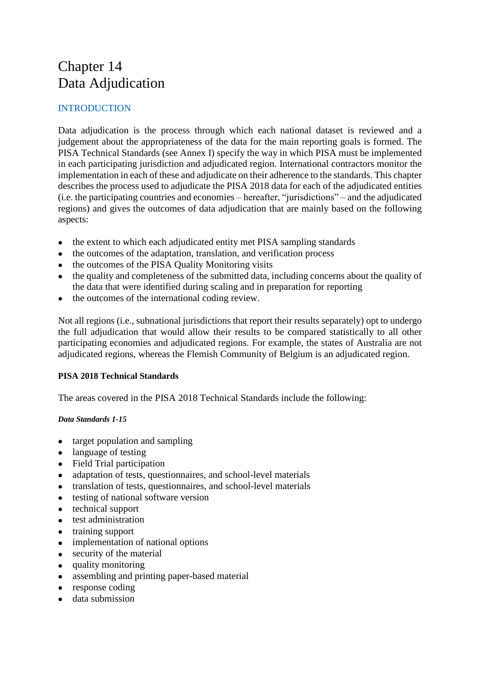# Chapter 14 Data Adjudication

## INTRODUCTION

Data adjudication is the process through which each national dataset is reviewed and a judgement about the appropriateness of the data for the main reporting goals is formed. The PISA Technical Standards (see Annex I) specify the way in which PISA must be implemented in each participating jurisdiction and adjudicated region. International contractors monitor the implementation in each of these and adjudicate on their adherence to the standards. This chapter describes the process used to adjudicate the PISA 2018 data for each of the adjudicated entities (i.e. the participating countries and economies – hereafter, "jurisdictions" – and the adjudicated regions) and gives the outcomes of data adjudication that are mainly based on the following aspects:

- the extent to which each adjudicated entity met PISA sampling standards
- the outcomes of the adaptation, translation, and verification process
- the outcomes of the PISA Quality Monitoring visits
- the quality and completeness of the submitted data, including concerns about the quality of the data that were identified during scaling and in preparation for reporting
- the outcomes of the international coding review.

Not all regions (i.e., subnational jurisdictions that report their results separately) opt to undergo the full adjudication that would allow their results to be compared statistically to all other participating economies and adjudicated regions. For example, the states of Australia are not adjudicated regions, whereas the Flemish Community of Belgium is an adjudicated region.

## **PISA 2018 Technical Standards**

The areas covered in the PISA 2018 Technical Standards include the following:

## *Data Standards 1-15*

- target population and sampling
- language of testing
- Field Trial participation
- adaptation of tests, questionnaires, and school-level materials
- translation of tests, questionnaires, and school-level materials
- testing of national software version
- technical support
- test administration
- training support
- implementation of national options
- security of the material
- quality monitoring
- assembling and printing paper-based material
- $\bullet$  response coding
- data submission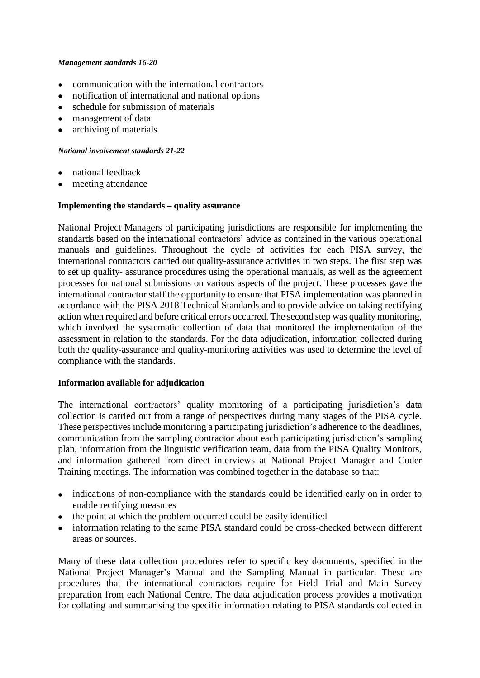#### *Management standards 16-20*

- communication with the international contractors
- notification of international and national options
- schedule for submission of materials
- management of data
- archiving of materials

#### *National involvement standards 21-22*

- national feedback
- meeting attendance

#### **Implementing the standards – quality assurance**

National Project Managers of participating jurisdictions are responsible for implementing the standards based on the international contractors' advice as contained in the various operational manuals and guidelines. Throughout the cycle of activities for each PISA survey, the international contractors carried out quality-assurance activities in two steps. The first step was to set up quality- assurance procedures using the operational manuals, as well as the agreement processes for national submissions on various aspects of the project. These processes gave the international contractor staff the opportunity to ensure that PISA implementation was planned in accordance with the PISA 2018 Technical Standards and to provide advice on taking rectifying action when required and before critical errors occurred. The second step was quality monitoring, which involved the systematic collection of data that monitored the implementation of the assessment in relation to the standards. For the data adjudication, information collected during both the quality-assurance and quality-monitoring activities was used to determine the level of compliance with the standards.

#### **Information available for adjudication**

The international contractors' quality monitoring of a participating jurisdiction's data collection is carried out from a range of perspectives during many stages of the PISA cycle. These perspectives include monitoring a participating jurisdiction's adherence to the deadlines, communication from the sampling contractor about each participating jurisdiction's sampling plan, information from the linguistic verification team, data from the PISA Quality Monitors, and information gathered from direct interviews at National Project Manager and Coder Training meetings. The information was combined together in the database so that:

- indications of non-compliance with the standards could be identified early on in order to enable rectifying measures
- the point at which the problem occurred could be easily identified
- information relating to the same PISA standard could be cross-checked between different areas or sources.

Many of these data collection procedures refer to specific key documents, specified in the National Project Manager's Manual and the Sampling Manual in particular. These are procedures that the international contractors require for Field Trial and Main Survey preparation from each National Centre. The data adjudication process provides a motivation for collating and summarising the specific information relating to PISA standards collected in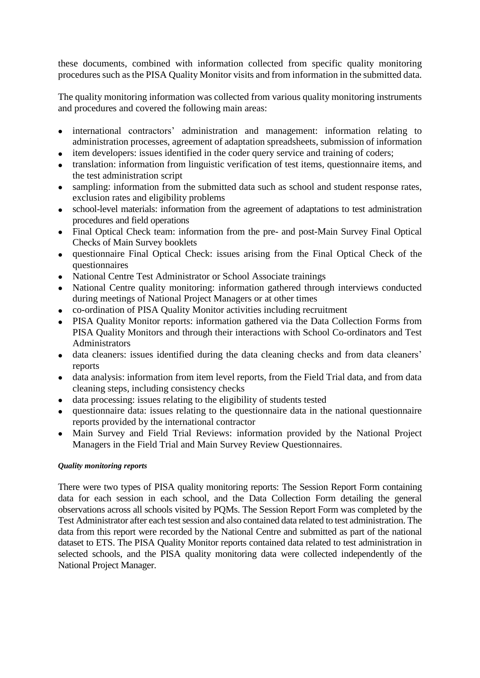these documents, combined with information collected from specific quality monitoring procedures such as the PISA Quality Monitor visits and from information in the submitted data.

The quality monitoring information was collected from various quality monitoring instruments and procedures and covered the following main areas:

- international contractors' administration and management: information relating to administration processes, agreement of adaptation spreadsheets, submission of information
- item developers: issues identified in the coder query service and training of coders;
- translation: information from linguistic verification of test items, questionnaire items, and the test administration script
- sampling: information from the submitted data such as school and student response rates, exclusion rates and eligibility problems
- school-level materials: information from the agreement of adaptations to test administration procedures and field operations
- Final Optical Check team: information from the pre- and post-Main Survey Final Optical Checks of Main Survey booklets
- questionnaire Final Optical Check: issues arising from the Final Optical Check of the questionnaires
- National Centre Test Administrator or School Associate trainings
- National Centre quality monitoring: information gathered through interviews conducted during meetings of National Project Managers or at other times
- co-ordination of PISA Quality Monitor activities including recruitment
- PISA Quality Monitor reports: information gathered via the Data Collection Forms from PISA Quality Monitors and through their interactions with School Co-ordinators and Test Administrators
- data cleaners: issues identified during the data cleaning checks and from data cleaners' reports
- data analysis: information from item level reports, from the Field Trial data, and from data cleaning steps, including consistency checks
- data processing: issues relating to the eligibility of students tested
- questionnaire data: issues relating to the questionnaire data in the national questionnaire reports provided by the international contractor
- Main Survey and Field Trial Reviews: information provided by the National Project Managers in the Field Trial and Main Survey Review Questionnaires.

## *Quality monitoring reports*

There were two types of PISA quality monitoring reports: The Session Report Form containing data for each session in each school, and the Data Collection Form detailing the general observations across all schools visited by PQMs. The Session Report Form was completed by the Test Administrator after each test session and also contained data related to test administration. The data from this report were recorded by the National Centre and submitted as part of the national dataset to ETS. The PISA Quality Monitor reports contained data related to test administration in selected schools, and the PISA quality monitoring data were collected independently of the National Project Manager.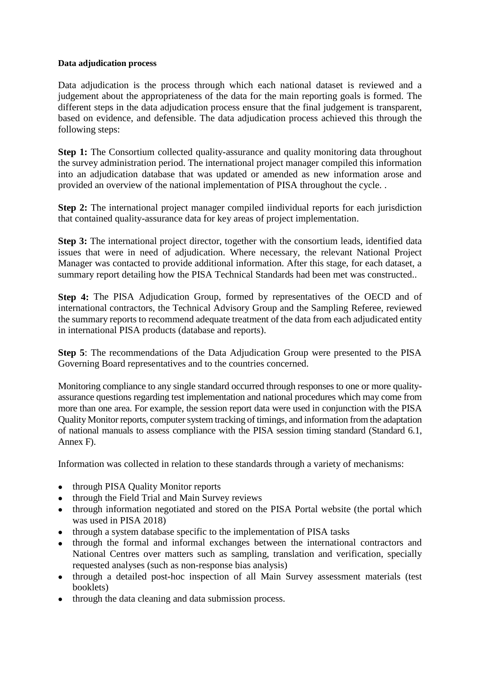## **Data adjudication process**

Data adjudication is the process through which each national dataset is reviewed and a judgement about the appropriateness of the data for the main reporting goals is formed. The different steps in the data adjudication process ensure that the final judgement is transparent, based on evidence, and defensible. The data adjudication process achieved this through the following steps:

**Step 1:** The Consortium collected quality-assurance and quality monitoring data throughout the survey administration period. The international project manager compiled this information into an adjudication database that was updated or amended as new information arose and provided an overview of the national implementation of PISA throughout the cycle. .

**Step 2:** The international project manager compiled iindividual reports for each jurisdiction that contained quality-assurance data for key areas of project implementation.

**Step 3:** The international project director, together with the consortium leads, identified data issues that were in need of adjudication. Where necessary, the relevant National Project Manager was contacted to provide additional information. After this stage, for each dataset, a summary report detailing how the PISA Technical Standards had been met was constructed..

**Step 4:** The PISA Adjudication Group, formed by representatives of the OECD and of international contractors, the Technical Advisory Group and the Sampling Referee, reviewed the summary reports to recommend adequate treatment of the data from each adjudicated entity in international PISA products (database and reports).

**Step 5**: The recommendations of the Data Adjudication Group were presented to the PISA Governing Board representatives and to the countries concerned.

Monitoring compliance to any single standard occurred through responses to one or more qualityassurance questions regarding test implementation and national procedures which may come from more than one area. For example, the session report data were used in conjunction with the PISA Quality Monitor reports, computer system tracking of timings, and information from the adaptation of national manuals to assess compliance with the PISA session timing standard (Standard 6.1, Annex F).

Information was collected in relation to these standards through a variety of mechanisms:

- through PISA Quality Monitor reports
- through the Field Trial and Main Survey reviews
- through information negotiated and stored on the PISA Portal website (the portal which was used in PISA 2018)
- through a system database specific to the implementation of PISA tasks
- through the formal and informal exchanges between the international contractors and National Centres over matters such as sampling, translation and verification, specially requested analyses (such as non-response bias analysis)
- through a detailed post-hoc inspection of all Main Survey assessment materials (test booklets)
- through the data cleaning and data submission process.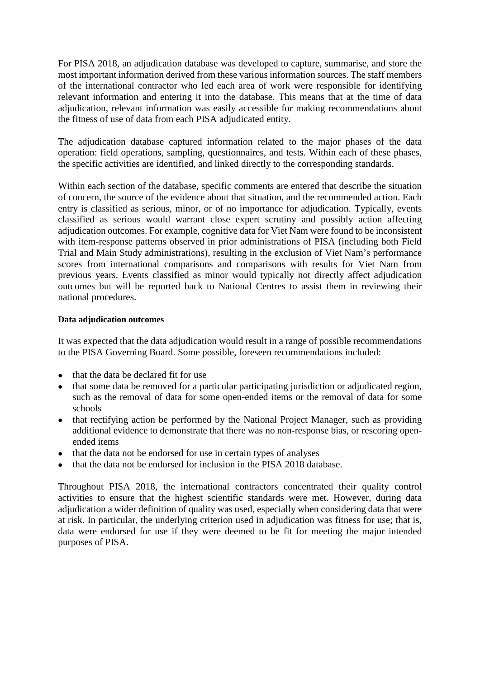For PISA 2018, an adjudication database was developed to capture, summarise, and store the most important information derived from these various information sources. The staff members of the international contractor who led each area of work were responsible for identifying relevant information and entering it into the database. This means that at the time of data adjudication, relevant information was easily accessible for making recommendations about the fitness of use of data from each PISA adjudicated entity.

The adjudication database captured information related to the major phases of the data operation: field operations, sampling, questionnaires, and tests. Within each of these phases, the specific activities are identified, and linked directly to the corresponding standards.

Within each section of the database, specific comments are entered that describe the situation of concern, the source of the evidence about that situation, and the recommended action. Each entry is classified as serious, minor, or of no importance for adjudication. Typically, events classified as serious would warrant close expert scrutiny and possibly action affecting adjudication outcomes. For example, cognitive data for Viet Nam were found to be inconsistent with item-response patterns observed in prior administrations of PISA (including both Field Trial and Main Study administrations), resulting in the exclusion of Viet Nam's performance scores from international comparisons and comparisons with results for Viet Nam from previous years. Events classified as minor would typically not directly affect adjudication outcomes but will be reported back to National Centres to assist them in reviewing their national procedures.

#### **Data adjudication outcomes**

It was expected that the data adjudication would result in a range of possible recommendations to the PISA Governing Board. Some possible, foreseen recommendations included:

- that the data be declared fit for use
- that some data be removed for a particular participating jurisdiction or adjudicated region, such as the removal of data for some open-ended items or the removal of data for some schools
- that rectifying action be performed by the National Project Manager, such as providing additional evidence to demonstrate that there was no non-response bias, or rescoring openended items
- that the data not be endorsed for use in certain types of analyses
- that the data not be endorsed for inclusion in the PISA 2018 database.

Throughout PISA 2018, the international contractors concentrated their quality control activities to ensure that the highest scientific standards were met. However, during data adjudication a wider definition of quality was used, especially when considering data that were at risk. In particular, the underlying criterion used in adjudication was fitness for use; that is, data were endorsed for use if they were deemed to be fit for meeting the major intended purposes of PISA.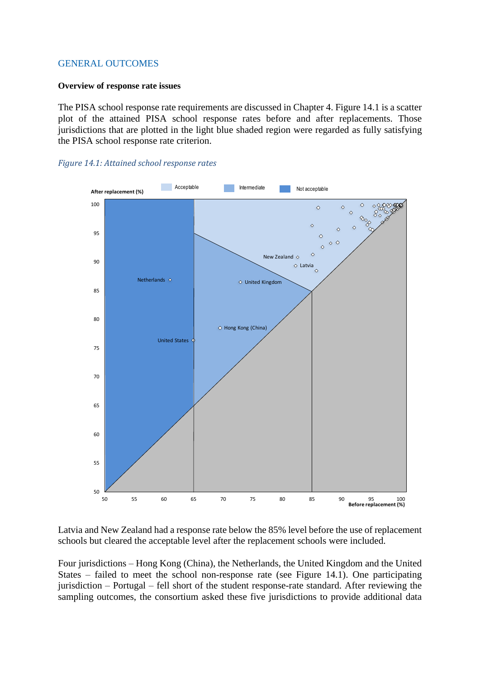## GENERAL OUTCOMES

#### **Overview of response rate issues**

The PISA school response rate requirements are discussed in Chapter 4. Figure 14.1 is a scatter plot of the attained PISA school response rates before and after replacements. Those jurisdictions that are plotted in the light blue shaded region were regarded as fully satisfying the PISA school response rate criterion.





Latvia and New Zealand had a response rate below the 85% level before the use of replacement schools but cleared the acceptable level after the replacement schools were included.

Four jurisdictions – Hong Kong (China), the Netherlands, the United Kingdom and the United States – failed to meet the school non-response rate (see Figure 14.1). One participating jurisdiction – Portugal – fell short of the student response-rate standard. After reviewing the sampling outcomes, the consortium asked these five jurisdictions to provide additional data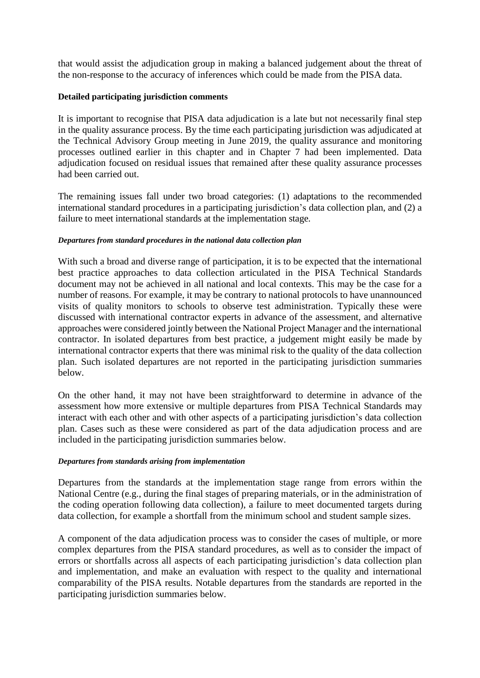that would assist the adjudication group in making a balanced judgement about the threat of the non-response to the accuracy of inferences which could be made from the PISA data.

## **Detailed participating jurisdiction comments**

It is important to recognise that PISA data adjudication is a late but not necessarily final step in the quality assurance process. By the time each participating jurisdiction was adjudicated at the Technical Advisory Group meeting in June 2019, the quality assurance and monitoring processes outlined earlier in this chapter and in Chapter 7 had been implemented. Data adjudication focused on residual issues that remained after these quality assurance processes had been carried out.

The remaining issues fall under two broad categories: (1) adaptations to the recommended international standard procedures in a participating jurisdiction's data collection plan, and (2) a failure to meet international standards at the implementation stage.

#### *Departures from standard procedures in the national data collection plan*

With such a broad and diverse range of participation, it is to be expected that the international best practice approaches to data collection articulated in the PISA Technical Standards document may not be achieved in all national and local contexts. This may be the case for a number of reasons. For example, it may be contrary to national protocols to have unannounced visits of quality monitors to schools to observe test administration. Typically these were discussed with international contractor experts in advance of the assessment, and alternative approaches were considered jointly between the National Project Manager and the international contractor. In isolated departures from best practice, a judgement might easily be made by international contractor experts that there was minimal risk to the quality of the data collection plan. Such isolated departures are not reported in the participating jurisdiction summaries below.

On the other hand, it may not have been straightforward to determine in advance of the assessment how more extensive or multiple departures from PISA Technical Standards may interact with each other and with other aspects of a participating jurisdiction's data collection plan. Cases such as these were considered as part of the data adjudication process and are included in the participating jurisdiction summaries below.

#### *Departures from standards arising from implementation*

Departures from the standards at the implementation stage range from errors within the National Centre (e.g., during the final stages of preparing materials, or in the administration of the coding operation following data collection), a failure to meet documented targets during data collection, for example a shortfall from the minimum school and student sample sizes.

A component of the data adjudication process was to consider the cases of multiple, or more complex departures from the PISA standard procedures, as well as to consider the impact of errors or shortfalls across all aspects of each participating jurisdiction's data collection plan and implementation, and make an evaluation with respect to the quality and international comparability of the PISA results. Notable departures from the standards are reported in the participating jurisdiction summaries below.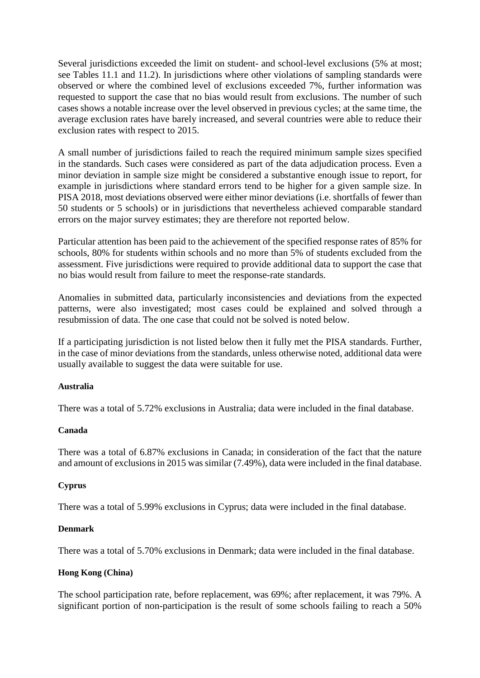Several jurisdictions exceeded the limit on student- and school-level exclusions (5% at most; see Tables 11.1 and 11.2). In jurisdictions where other violations of sampling standards were observed or where the combined level of exclusions exceeded 7%, further information was requested to support the case that no bias would result from exclusions. The number of such cases shows a notable increase over the level observed in previous cycles; at the same time, the average exclusion rates have barely increased, and several countries were able to reduce their exclusion rates with respect to 2015.

A small number of jurisdictions failed to reach the required minimum sample sizes specified in the standards. Such cases were considered as part of the data adjudication process. Even a minor deviation in sample size might be considered a substantive enough issue to report, for example in jurisdictions where standard errors tend to be higher for a given sample size. In PISA 2018, most deviations observed were either minor deviations (i.e. shortfalls of fewer than 50 students or 5 schools) or in jurisdictions that nevertheless achieved comparable standard errors on the major survey estimates; they are therefore not reported below.

Particular attention has been paid to the achievement of the specified response rates of 85% for schools, 80% for students within schools and no more than 5% of students excluded from the assessment. Five jurisdictions were required to provide additional data to support the case that no bias would result from failure to meet the response-rate standards.

Anomalies in submitted data, particularly inconsistencies and deviations from the expected patterns, were also investigated; most cases could be explained and solved through a resubmission of data. The one case that could not be solved is noted below.

If a participating jurisdiction is not listed below then it fully met the PISA standards. Further, in the case of minor deviations from the standards, unless otherwise noted, additional data were usually available to suggest the data were suitable for use.

## **Australia**

There was a total of 5.72% exclusions in Australia; data were included in the final database.

## **Canada**

There was a total of 6.87% exclusions in Canada; in consideration of the fact that the nature and amount of exclusions in 2015 was similar (7.49%), data were included in the final database.

## **Cyprus**

There was a total of 5.99% exclusions in Cyprus; data were included in the final database.

## **Denmark**

There was a total of 5.70% exclusions in Denmark; data were included in the final database.

## **Hong Kong (China)**

The school participation rate, before replacement, was 69%; after replacement, it was 79%. A significant portion of non-participation is the result of some schools failing to reach a 50%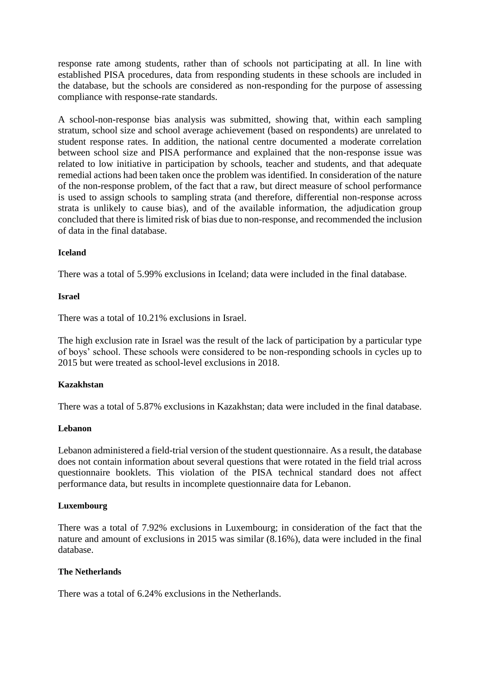response rate among students, rather than of schools not participating at all. In line with established PISA procedures, data from responding students in these schools are included in the database, but the schools are considered as non-responding for the purpose of assessing compliance with response-rate standards.

A school-non-response bias analysis was submitted, showing that, within each sampling stratum, school size and school average achievement (based on respondents) are unrelated to student response rates. In addition, the national centre documented a moderate correlation between school size and PISA performance and explained that the non-response issue was related to low initiative in participation by schools, teacher and students, and that adequate remedial actions had been taken once the problem was identified. In consideration of the nature of the non-response problem, of the fact that a raw, but direct measure of school performance is used to assign schools to sampling strata (and therefore, differential non-response across strata is unlikely to cause bias), and of the available information, the adjudication group concluded that there is limited risk of bias due to non-response, and recommended the inclusion of data in the final database.

#### **Iceland**

There was a total of 5.99% exclusions in Iceland; data were included in the final database.

#### **Israel**

There was a total of 10.21% exclusions in Israel.

The high exclusion rate in Israel was the result of the lack of participation by a particular type of boys' school. These schools were considered to be non-responding schools in cycles up to 2015 but were treated as school-level exclusions in 2018.

#### **Kazakhstan**

There was a total of 5.87% exclusions in Kazakhstan; data were included in the final database.

#### **Lebanon**

Lebanon administered a field-trial version of the student questionnaire. As a result, the database does not contain information about several questions that were rotated in the field trial across questionnaire booklets. This violation of the PISA technical standard does not affect performance data, but results in incomplete questionnaire data for Lebanon.

#### **Luxembourg**

There was a total of 7.92% exclusions in Luxembourg; in consideration of the fact that the nature and amount of exclusions in 2015 was similar (8.16%), data were included in the final database.

## **The Netherlands**

There was a total of 6.24% exclusions in the Netherlands.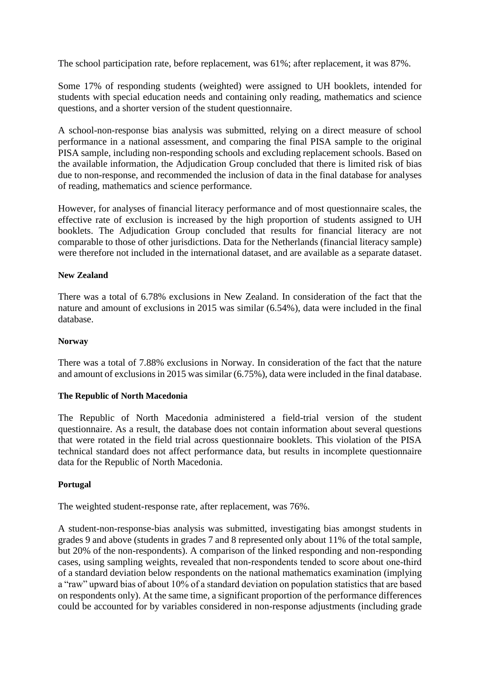The school participation rate, before replacement, was 61%; after replacement, it was 87%.

Some 17% of responding students (weighted) were assigned to UH booklets, intended for students with special education needs and containing only reading, mathematics and science questions, and a shorter version of the student questionnaire.

A school-non-response bias analysis was submitted, relying on a direct measure of school performance in a national assessment, and comparing the final PISA sample to the original PISA sample, including non-responding schools and excluding replacement schools. Based on the available information, the Adjudication Group concluded that there is limited risk of bias due to non-response, and recommended the inclusion of data in the final database for analyses of reading, mathematics and science performance.

However, for analyses of financial literacy performance and of most questionnaire scales, the effective rate of exclusion is increased by the high proportion of students assigned to UH booklets. The Adjudication Group concluded that results for financial literacy are not comparable to those of other jurisdictions. Data for the Netherlands (financial literacy sample) were therefore not included in the international dataset, and are available as a separate dataset.

## **New Zealand**

There was a total of 6.78% exclusions in New Zealand. In consideration of the fact that the nature and amount of exclusions in 2015 was similar (6.54%), data were included in the final database.

## **Norway**

There was a total of 7.88% exclusions in Norway. In consideration of the fact that the nature and amount of exclusions in 2015 was similar (6.75%), data were included in the final database.

## **The Republic of North Macedonia**

The Republic of North Macedonia administered a field-trial version of the student questionnaire. As a result, the database does not contain information about several questions that were rotated in the field trial across questionnaire booklets. This violation of the PISA technical standard does not affect performance data, but results in incomplete questionnaire data for the Republic of North Macedonia.

## **Portugal**

The weighted student-response rate, after replacement, was 76%.

A student-non-response-bias analysis was submitted, investigating bias amongst students in grades 9 and above (students in grades 7 and 8 represented only about 11% of the total sample, but 20% of the non-respondents). A comparison of the linked responding and non-responding cases, using sampling weights, revealed that non-respondents tended to score about one-third of a standard deviation below respondents on the national mathematics examination (implying a "raw" upward bias of about 10% of a standard deviation on population statistics that are based on respondents only). At the same time, a significant proportion of the performance differences could be accounted for by variables considered in non-response adjustments (including grade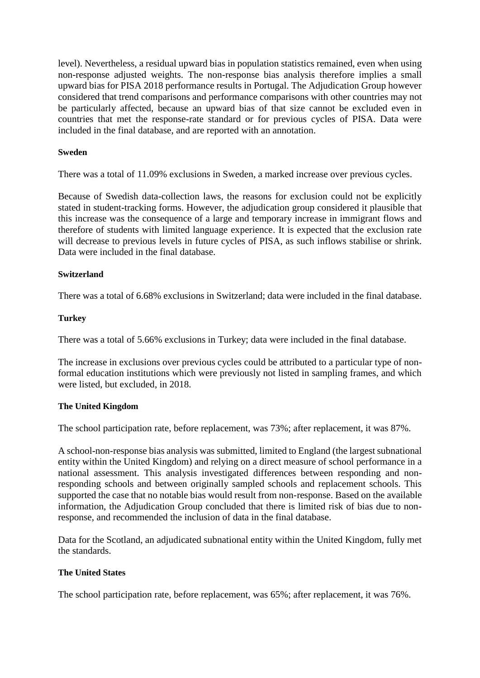level). Nevertheless, a residual upward bias in population statistics remained, even when using non-response adjusted weights. The non-response bias analysis therefore implies a small upward bias for PISA 2018 performance results in Portugal. The Adjudication Group however considered that trend comparisons and performance comparisons with other countries may not be particularly affected, because an upward bias of that size cannot be excluded even in countries that met the response-rate standard or for previous cycles of PISA. Data were included in the final database, and are reported with an annotation.

#### **Sweden**

There was a total of 11.09% exclusions in Sweden, a marked increase over previous cycles.

Because of Swedish data-collection laws, the reasons for exclusion could not be explicitly stated in student-tracking forms. However, the adjudication group considered it plausible that this increase was the consequence of a large and temporary increase in immigrant flows and therefore of students with limited language experience. It is expected that the exclusion rate will decrease to previous levels in future cycles of PISA, as such inflows stabilise or shrink. Data were included in the final database.

#### **Switzerland**

There was a total of 6.68% exclusions in Switzerland; data were included in the final database.

#### **Turkey**

There was a total of 5.66% exclusions in Turkey; data were included in the final database.

The increase in exclusions over previous cycles could be attributed to a particular type of nonformal education institutions which were previously not listed in sampling frames, and which were listed, but excluded, in 2018.

#### **The United Kingdom**

The school participation rate, before replacement, was 73%; after replacement, it was 87%.

A school-non-response bias analysis was submitted, limited to England (the largest subnational entity within the United Kingdom) and relying on a direct measure of school performance in a national assessment. This analysis investigated differences between responding and nonresponding schools and between originally sampled schools and replacement schools. This supported the case that no notable bias would result from non-response. Based on the available information, the Adjudication Group concluded that there is limited risk of bias due to nonresponse, and recommended the inclusion of data in the final database.

Data for the Scotland, an adjudicated subnational entity within the United Kingdom, fully met the standards.

## **The United States**

The school participation rate, before replacement, was 65%; after replacement, it was 76%.